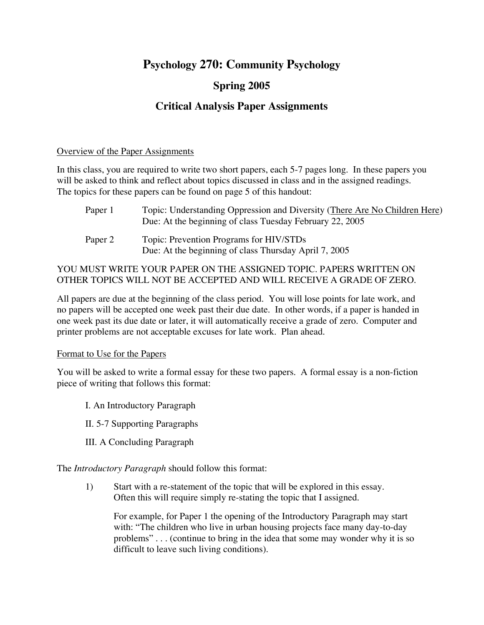# **Psychology 270: Community Psychology**

# **Spring 2005**

# **Critical Analysis Paper Assignments**

#### Overview of the Paper Assignments

In this class, you are required to write two short papers, each 5-7 pages long. In these papers you will be asked to think and reflect about topics discussed in class and in the assigned readings. The topics for these papers can be found on page 5 of this handout:

| Paper 1 | Topic: Understanding Oppression and Diversity (There Are No Children Here)<br>Due: At the beginning of class Tuesday February 22, 2005 |
|---------|----------------------------------------------------------------------------------------------------------------------------------------|
| Paper 2 | Topic: Prevention Programs for HIV/STDs<br>Due: At the beginning of class Thursday April 7, 2005                                       |

## YOU MUST WRITE YOUR PAPER ON THE ASSIGNED TOPIC. PAPERS WRITTEN ON OTHER TOPICS WILL NOT BE ACCEPTED AND WILL RECEIVE A GRADE OF ZERO.

All papers are due at the beginning of the class period. You will lose points for late work, and no papers will be accepted one week past their due date. In other words, if a paper is handed in one week past its due date or later, it will automatically receive a grade of zero. Computer and printer problems are not acceptable excuses for late work. Plan ahead.

### Format to Use for the Papers

You will be asked to write a formal essay for these two papers. A formal essay is a non-fiction piece of writing that follows this format:

- I. An Introductory Paragraph
- II. 5-7 Supporting Paragraphs
- III. A Concluding Paragraph

The *Introductory Paragraph* should follow this format:

1) Start with a re-statement of the topic that will be explored in this essay. Often this will require simply re-stating the topic that I assigned.

For example, for Paper 1 the opening of the Introductory Paragraph may start with: "The children who live in urban housing projects face many day-to-day problems" . . . (continue to bring in the idea that some may wonder why it is so difficult to leave such living conditions).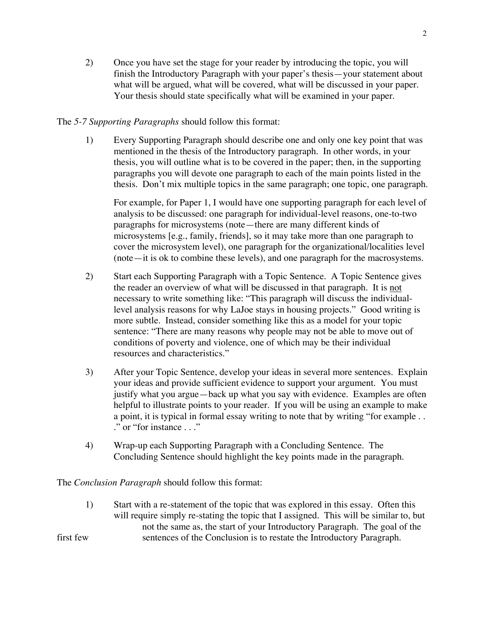2) Once you have set the stage for your reader by introducing the topic, you will finish the Introductory Paragraph with your paper's thesis—your statement about what will be argued, what will be covered, what will be discussed in your paper. Your thesis should state specifically what will be examined in your paper.

#### The *5-7 Supporting Paragraphs* should follow this format:

1) Every Supporting Paragraph should describe one and only one key point that was mentioned in the thesis of the Introductory paragraph. In other words, in your thesis, you will outline what is to be covered in the paper; then, in the supporting paragraphs you will devote one paragraph to each of the main points listed in the thesis. Don't mix multiple topics in the same paragraph; one topic, one paragraph.

For example, for Paper 1, I would have one supporting paragraph for each level of analysis to be discussed: one paragraph for individual-level reasons, one-to-two paragraphs for microsystems (note—there are many different kinds of microsystems [e.g., family, friends], so it may take more than one paragraph to cover the microsystem level), one paragraph for the organizational/localities level (note—it is ok to combine these levels), and one paragraph for the macrosystems.

- 2) Start each Supporting Paragraph with a Topic Sentence. A Topic Sentence gives the reader an overview of what will be discussed in that paragraph. It is not necessary to write something like: "This paragraph will discuss the individuallevel analysis reasons for why LaJoe stays in housing projects." Good writing is more subtle. Instead, consider something like this as a model for your topic sentence: "There are many reasons why people may not be able to move out of conditions of poverty and violence, one of which may be their individual resources and characteristics."
- 3) After your Topic Sentence, develop your ideas in several more sentences. Explain your ideas and provide sufficient evidence to support your argument. You must justify what you argue—back up what you say with evidence. Examples are often helpful to illustrate points to your reader. If you will be using an example to make a point, it is typical in formal essay writing to note that by writing "for example . . ." or "for instance . . ."
- 4) Wrap-up each Supporting Paragraph with a Concluding Sentence. The Concluding Sentence should highlight the key points made in the paragraph.

The *Conclusion Paragraph* should follow this format:

1) Start with a re-statement of the topic that was explored in this essay. Often this will require simply re-stating the topic that I assigned. This will be similar to, but not the same as, the start of your Introductory Paragraph. The goal of the first few sentences of the Conclusion is to restate the Introductory Paragraph.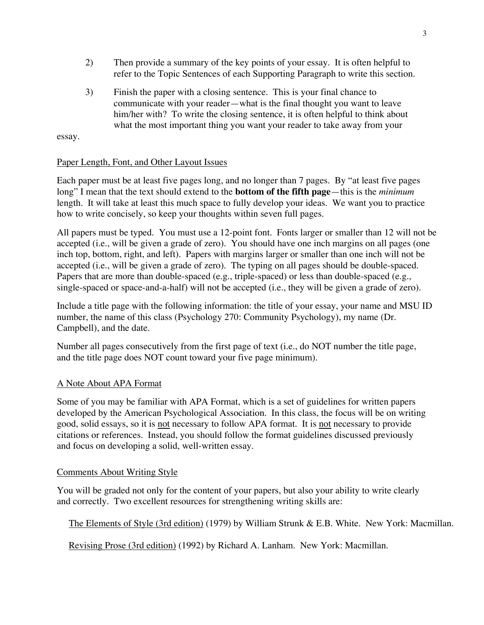- 2) Then provide a summary of the key points of your essay. It is often helpful to refer to the Topic Sentences of each Supporting Paragraph to write this section.
- 3) Finish the paper with a closing sentence. This is your final chance to communicate with your reader—what is the final thought you want to leave him/her with? To write the closing sentence, it is often helpful to think about what the most important thing you want your reader to take away from your

essay.

### Paper Length, Font, and Other Layout Issues

Each paper must be at least five pages long, and no longer than 7 pages. By "at least five pages long" I mean that the text should extend to the **bottom of the fifth page**—this is the *minimum* length. It will take at least this much space to fully develop your ideas. We want you to practice how to write concisely, so keep your thoughts within seven full pages.

All papers must be typed. You must use a 12-point font. Fonts larger or smaller than 12 will not be accepted (i.e., will be given a grade of zero). You should have one inch margins on all pages (one inch top, bottom, right, and left). Papers with margins larger or smaller than one inch will not be accepted (i.e., will be given a grade of zero). The typing on all pages should be double-spaced. Papers that are more than double-spaced (e.g., triple-spaced) or less than double-spaced (e.g., single-spaced or space-and-a-half) will not be accepted (i.e., they will be given a grade of zero).

Include a title page with the following information: the title of your essay, your name and MSU ID number, the name of this class (Psychology 270: Community Psychology), my name (Dr. Campbell), and the date.

Number all pages consecutively from the first page of text (i.e., do NOT number the title page, and the title page does NOT count toward your five page minimum).

### A Note About APA Format

Some of you may be familiar with APA Format, which is a set of guidelines for written papers developed by the American Psychological Association. In this class, the focus will be on writing good, solid essays, so it is not necessary to follow APA format. It is not necessary to provide citations or references. Instead, you should follow the format guidelines discussed previously and focus on developing a solid, well-written essay.

### Comments About Writing Style

You will be graded not only for the content of your papers, but also your ability to write clearly and correctly. Two excellent resources for strengthening writing skills are:

The Elements of Style (3rd edition) (1979) by William Strunk & E.B. White. New York: Macmillan.

Revising Prose (3rd edition) (1992) by Richard A. Lanham. New York: Macmillan.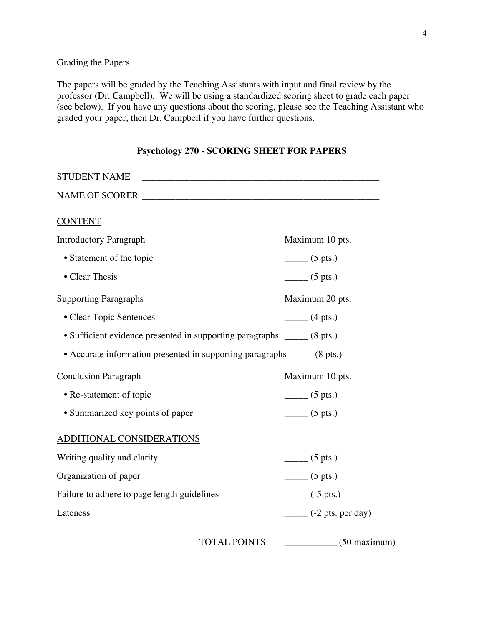## Grading the Papers

The papers will be graded by the Teaching Assistants with input and final review by the professor (Dr. Campbell). We will be using a standardized scoring sheet to grade each paper (see below). If you have any questions about the scoring, please see the Teaching Assistant who graded your paper, then Dr. Campbell if you have further questions.

| <b>STUDENT NAME</b>                                                      |                                       |
|--------------------------------------------------------------------------|---------------------------------------|
| NAME OF SCORER                                                           |                                       |
| <b>CONTENT</b>                                                           |                                       |
| <b>Introductory Paragraph</b>                                            | Maximum 10 pts.                       |
| • Statement of the topic                                                 | $\frac{1}{\sqrt{5}}$ (5 pts.)         |
| • Clear Thesis                                                           | $\frac{1}{1}$ (5 pts.)                |
| <b>Supporting Paragraphs</b>                                             | Maximum 20 pts.                       |
| • Clear Topic Sentences                                                  | $\frac{1}{2}$ (4 pts.)                |
| • Sufficient evidence presented in supporting paragraphs _____ (8 pts.)  |                                       |
| • Accurate information presented in supporting paragraphs _____ (8 pts.) |                                       |
| <b>Conclusion Paragraph</b>                                              | Maximum 10 pts.                       |
| • Re-statement of topic                                                  | $\frac{1}{2}$ (5 pts.)                |
| • Summarized key points of paper                                         | $\frac{1}{\sqrt{5}}$ (5 pts.)         |
| ADDITIONAL CONSIDERATIONS                                                |                                       |
| Writing quality and clarity                                              | $\frac{1}{\sqrt{5}}$ (5 pts.)         |
| Organization of paper                                                    | $\frac{1}{\sqrt{5}}$ (5 pts.)         |
| Failure to adhere to page length guidelines                              | $\frac{1}{2}$ (-5 pts.)               |
| Lateness                                                                 | $\frac{1}{2}$ (-2 pts. per day)       |
|                                                                          | <b>TOTAL POINTS</b><br>$(50$ maximum) |

### **Psychology 270 - SCORING SHEET FOR PAPERS**